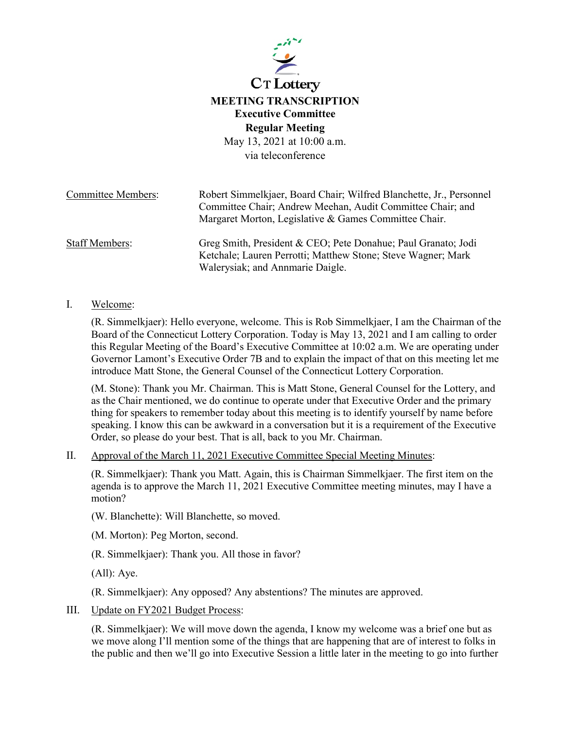

**Regular Meeting**

May 13, 2021 at 10:00 a.m. via teleconference

| <b>Committee Members:</b> | Robert Simmelkjaer, Board Chair; Wilfred Blanchette, Jr., Personnel |
|---------------------------|---------------------------------------------------------------------|
|                           | Committee Chair; Andrew Meehan, Audit Committee Chair; and          |
|                           | Margaret Morton, Legislative & Games Committee Chair.               |
| Staff Members:            | Greg Smith, President & CEO; Pete Donahue; Paul Granato; Jodi       |
|                           | Ketchale; Lauren Perrotti; Matthew Stone; Steve Wagner; Mark        |
|                           | Walerysiak; and Annmarie Daigle.                                    |

### I. Welcome:

(R. Simmelkjaer): Hello everyone, welcome. This is Rob Simmelkjaer, I am the Chairman of the Board of the Connecticut Lottery Corporation. Today is May 13, 2021 and I am calling to order this Regular Meeting of the Board's Executive Committee at 10:02 a.m. We are operating under Governor Lamont's Executive Order 7B and to explain the impact of that on this meeting let me introduce Matt Stone, the General Counsel of the Connecticut Lottery Corporation.

(M. Stone): Thank you Mr. Chairman. This is Matt Stone, General Counsel for the Lottery, and as the Chair mentioned, we do continue to operate under that Executive Order and the primary thing for speakers to remember today about this meeting is to identify yourself by name before speaking. I know this can be awkward in a conversation but it is a requirement of the Executive Order, so please do your best. That is all, back to you Mr. Chairman.

### II. Approval of the March 11, 2021 Executive Committee Special Meeting Minutes:

(R. Simmelkjaer): Thank you Matt. Again, this is Chairman Simmelkjaer. The first item on the agenda is to approve the March 11, 2021 Executive Committee meeting minutes, may I have a motion?

(W. Blanchette): Will Blanchette, so moved.

(M. Morton): Peg Morton, second.

(R. Simmelkjaer): Thank you. All those in favor?

(All): Aye.

(R. Simmelkjaer): Any opposed? Any abstentions? The minutes are approved.

III. Update on FY2021 Budget Process:

(R. Simmelkjaer): We will move down the agenda, I know my welcome was a brief one but as we move along I'll mention some of the things that are happening that are of interest to folks in the public and then we'll go into Executive Session a little later in the meeting to go into further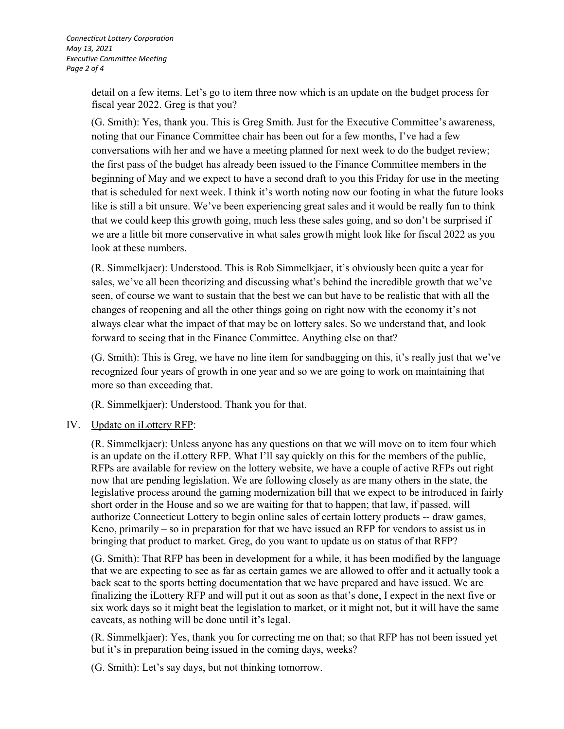detail on a few items. Let's go to item three now which is an update on the budget process for fiscal year 2022. Greg is that you?

(G. Smith): Yes, thank you. This is Greg Smith. Just for the Executive Committee's awareness, noting that our Finance Committee chair has been out for a few months, I've had a few conversations with her and we have a meeting planned for next week to do the budget review; the first pass of the budget has already been issued to the Finance Committee members in the beginning of May and we expect to have a second draft to you this Friday for use in the meeting that is scheduled for next week. I think it's worth noting now our footing in what the future looks like is still a bit unsure. We've been experiencing great sales and it would be really fun to think that we could keep this growth going, much less these sales going, and so don't be surprised if we are a little bit more conservative in what sales growth might look like for fiscal 2022 as you look at these numbers.

(R. Simmelkjaer): Understood. This is Rob Simmelkjaer, it's obviously been quite a year for sales, we've all been theorizing and discussing what's behind the incredible growth that we've seen, of course we want to sustain that the best we can but have to be realistic that with all the changes of reopening and all the other things going on right now with the economy it's not always clear what the impact of that may be on lottery sales. So we understand that, and look forward to seeing that in the Finance Committee. Anything else on that?

(G. Smith): This is Greg, we have no line item for sandbagging on this, it's really just that we've recognized four years of growth in one year and so we are going to work on maintaining that more so than exceeding that.

(R. Simmelkjaer): Understood. Thank you for that.

# IV. Update on iLottery RFP:

(R. Simmelkjaer): Unless anyone has any questions on that we will move on to item four which is an update on the iLottery RFP. What I'll say quickly on this for the members of the public, RFPs are available for review on the lottery website, we have a couple of active RFPs out right now that are pending legislation. We are following closely as are many others in the state, the legislative process around the gaming modernization bill that we expect to be introduced in fairly short order in the House and so we are waiting for that to happen; that law, if passed, will authorize Connecticut Lottery to begin online sales of certain lottery products -- draw games, Keno, primarily – so in preparation for that we have issued an RFP for vendors to assist us in bringing that product to market. Greg, do you want to update us on status of that RFP?

(G. Smith): That RFP has been in development for a while, it has been modified by the language that we are expecting to see as far as certain games we are allowed to offer and it actually took a back seat to the sports betting documentation that we have prepared and have issued. We are finalizing the iLottery RFP and will put it out as soon as that's done, I expect in the next five or six work days so it might beat the legislation to market, or it might not, but it will have the same caveats, as nothing will be done until it's legal.

(R. Simmelkjaer): Yes, thank you for correcting me on that; so that RFP has not been issued yet but it's in preparation being issued in the coming days, weeks?

(G. Smith): Let's say days, but not thinking tomorrow.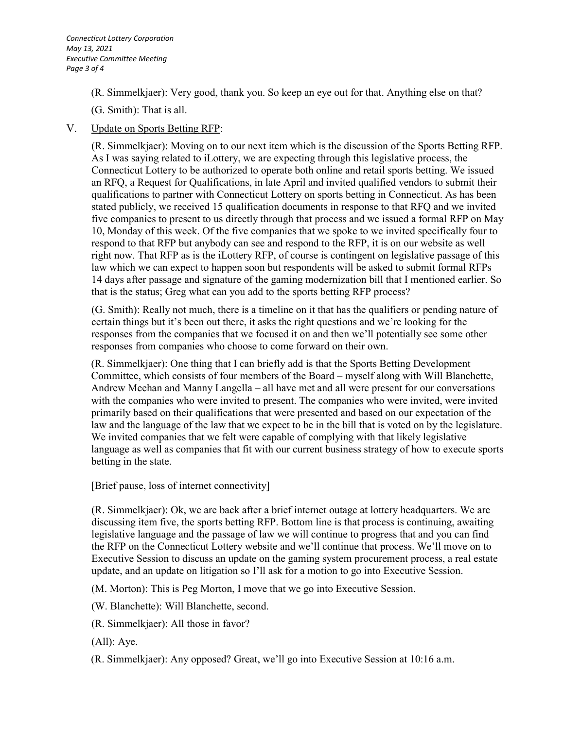(R. Simmelkjaer): Very good, thank you. So keep an eye out for that. Anything else on that?

(G. Smith): That is all.

## V. Update on Sports Betting RFP:

(R. Simmelkjaer): Moving on to our next item which is the discussion of the Sports Betting RFP. As I was saying related to iLottery, we are expecting through this legislative process, the Connecticut Lottery to be authorized to operate both online and retail sports betting. We issued an RFQ, a Request for Qualifications, in late April and invited qualified vendors to submit their qualifications to partner with Connecticut Lottery on sports betting in Connecticut. As has been stated publicly, we received 15 qualification documents in response to that RFQ and we invited five companies to present to us directly through that process and we issued a formal RFP on May 10, Monday of this week. Of the five companies that we spoke to we invited specifically four to respond to that RFP but anybody can see and respond to the RFP, it is on our website as well right now. That RFP as is the iLottery RFP, of course is contingent on legislative passage of this law which we can expect to happen soon but respondents will be asked to submit formal RFPs 14 days after passage and signature of the gaming modernization bill that I mentioned earlier. So that is the status; Greg what can you add to the sports betting RFP process?

(G. Smith): Really not much, there is a timeline on it that has the qualifiers or pending nature of certain things but it's been out there, it asks the right questions and we're looking for the responses from the companies that we focused it on and then we'll potentially see some other responses from companies who choose to come forward on their own.

(R. Simmelkjaer): One thing that I can briefly add is that the Sports Betting Development Committee, which consists of four members of the Board – myself along with Will Blanchette, Andrew Meehan and Manny Langella – all have met and all were present for our conversations with the companies who were invited to present. The companies who were invited, were invited primarily based on their qualifications that were presented and based on our expectation of the law and the language of the law that we expect to be in the bill that is voted on by the legislature. We invited companies that we felt were capable of complying with that likely legislative language as well as companies that fit with our current business strategy of how to execute sports betting in the state.

[Brief pause, loss of internet connectivity]

(R. Simmelkjaer): Ok, we are back after a brief internet outage at lottery headquarters. We are discussing item five, the sports betting RFP. Bottom line is that process is continuing, awaiting legislative language and the passage of law we will continue to progress that and you can find the RFP on the Connecticut Lottery website and we'll continue that process. We'll move on to Executive Session to discuss an update on the gaming system procurement process, a real estate update, and an update on litigation so I'll ask for a motion to go into Executive Session.

(M. Morton): This is Peg Morton, I move that we go into Executive Session.

(W. Blanchette): Will Blanchette, second.

(R. Simmelkjaer): All those in favor?

(All): Aye.

(R. Simmelkjaer): Any opposed? Great, we'll go into Executive Session at 10:16 a.m.